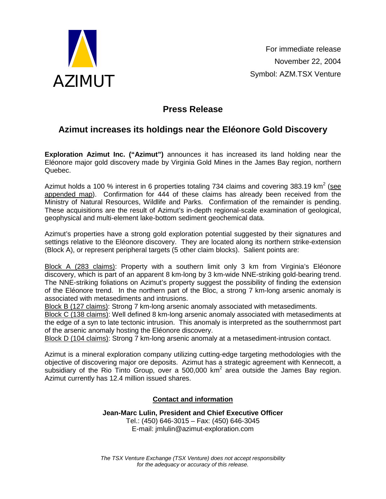

## **Press Release**

# **Azimut increases its holdings near the Eléonore Gold Discovery**

**Exploration Azimut Inc. ("Azimut")** announces it has increased its land holding near the Eléonore major gold discovery made by Virginia Gold Mines in the James Bay region, northern Quebec.

Azimut holds a 100 % interest in 6 properties totaling 734 claims and covering 383.19 km<sup>2</sup> (see appended map). Confirmation for 444 of these claims has already been received from the Ministry of Natural Resources, Wildlife and Parks. Confirmation of the remainder is pending. These acquisitions are the result of Azimut's in-depth regional-scale examination of geological, geophysical and multi-element lake-bottom sediment geochemical data.

Azimut's properties have a strong gold exploration potential suggested by their signatures and settings relative to the Eléonore discovery. They are located along its northern strike-extension (Block A), or represent peripheral targets (5 other claim blocks). Salient points are:

Block A (283 claims): Property with a southern limit only 3 km from Virginia's Eléonore discovery, which is part of an apparent 8 km-long by 3 km-wide NNE-striking gold-bearing trend. The NNE-striking foliations on Azimut's property suggest the possibility of finding the extension of the Eléonore trend. In the northern part of the Bloc, a strong 7 km-long arsenic anomaly is associated with metasediments and intrusions.

Block B (127 claims): Strong 7 km-long arsenic anomaly associated with metasediments.

Block C (138 claims): Well defined 8 km-long arsenic anomaly associated with metasediments at the edge of a syn to late tectonic intrusion. This anomaly is interpreted as the southernmost part of the arsenic anomaly hosting the Eléonore discovery.

Block D (104 claims): Strong 7 km-long arsenic anomaly at a metasediment-intrusion contact.

Azimut is a mineral exploration company utilizing cutting-edge targeting methodologies with the objective of discovering major ore deposits. Azimut has a strategic agreement with Kennecott, a subsidiary of the Rio Tinto Group, over a 500,000 km<sup>2</sup> area outside the James Bay region. Azimut currently has 12.4 million issued shares.

#### **Contact and information**

**Jean-Marc Lulin, President and Chief Executive Officer**  Tel.: (450) 646-3015 – Fax: (450) 646-3045 E-mail: jmlulin@azimut-exploration.com

*The TSX Venture Exchange (TSX Venture) does not accept responsibility for the adequacy or accuracy of this release.*